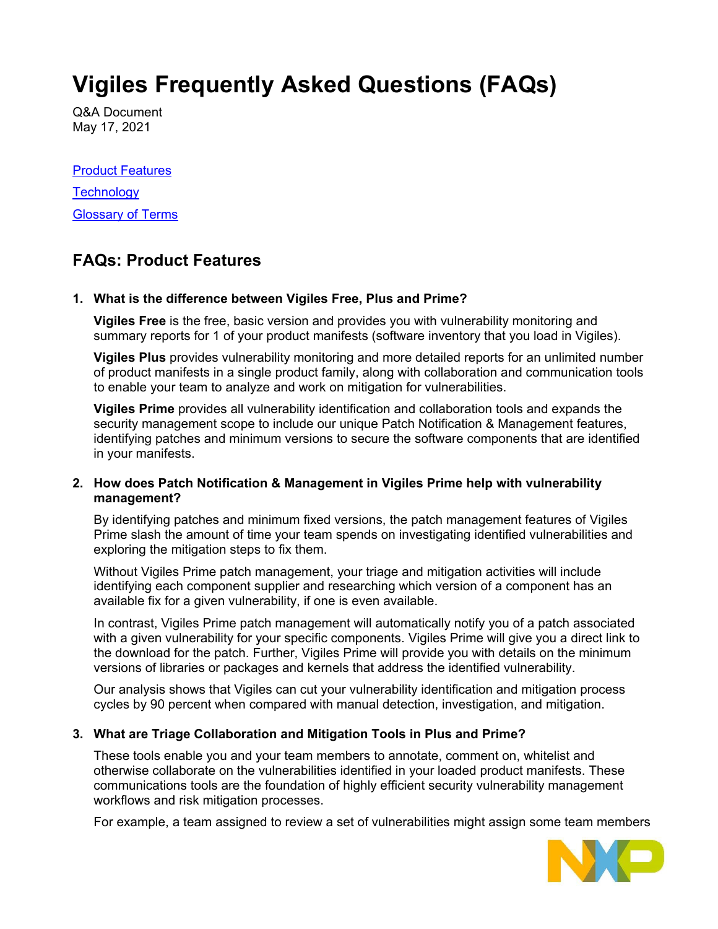# **Vigiles Frequently Asked Questions (FAQs)**

Q&A Document May 17, 2021

[Product Features](#page-0-0) **[Technology](#page-3-0)** [Glossary](#page-7-0) of Terms

# <span id="page-0-0"></span>**FAQs: Product Features**

# **1. What is the difference between Vigiles Free, Plus and Prime?**

**Vigiles Free** is the free, basic version and provides you with vulnerability monitoring and summary reports for 1 of your product manifests (software inventory that you load in Vigiles).

**Vigiles Plus** provides vulnerability monitoring and more detailed reports for an unlimited number of product manifests in a single product family, along with collaboration and communication tools to enable your team to analyze and work on mitigation for vulnerabilities.

**Vigiles Prime** provides all vulnerability identification and collaboration tools and expands the security management scope to include our unique Patch Notification & Management features, identifying patches and minimum versions to secure the software components that are identified in your manifests.

# **2. How does Patch Notification & Management in Vigiles Prime help with vulnerability management?**

By identifying patches and minimum fixed versions, the patch management features of Vigiles Prime slash the amount of time your team spends on investigating identified vulnerabilities and exploring the mitigation steps to fix them.

Without Vigiles Prime patch management, your triage and mitigation activities will include identifying each component supplier and researching which version of a component has an available fix for a given vulnerability, if one is even available.

In contrast, Vigiles Prime patch management will automatically notify you of a patch associated with a given vulnerability for your specific components. Vigiles Prime will give you a direct link to the download for the patch. Further, Vigiles Prime will provide you with details on the minimum versions of libraries or packages and kernels that address the identified vulnerability.

Our analysis shows that Vigiles can cut your vulnerability identification and mitigation process cycles by 90 percent when compared with manual detection, investigation, and mitigation.

# **3. What are Triage Collaboration and Mitigation Tools in Plus and Prime?**

These tools enable you and your team members to annotate, comment on, whitelist and otherwise collaborate on the vulnerabilities identified in your loaded product manifests. These communications tools are the foundation of highly efficient security vulnerability management workflows and risk mitigation processes.

For example, a team assigned to review a set of vulnerabilities might assign some team members

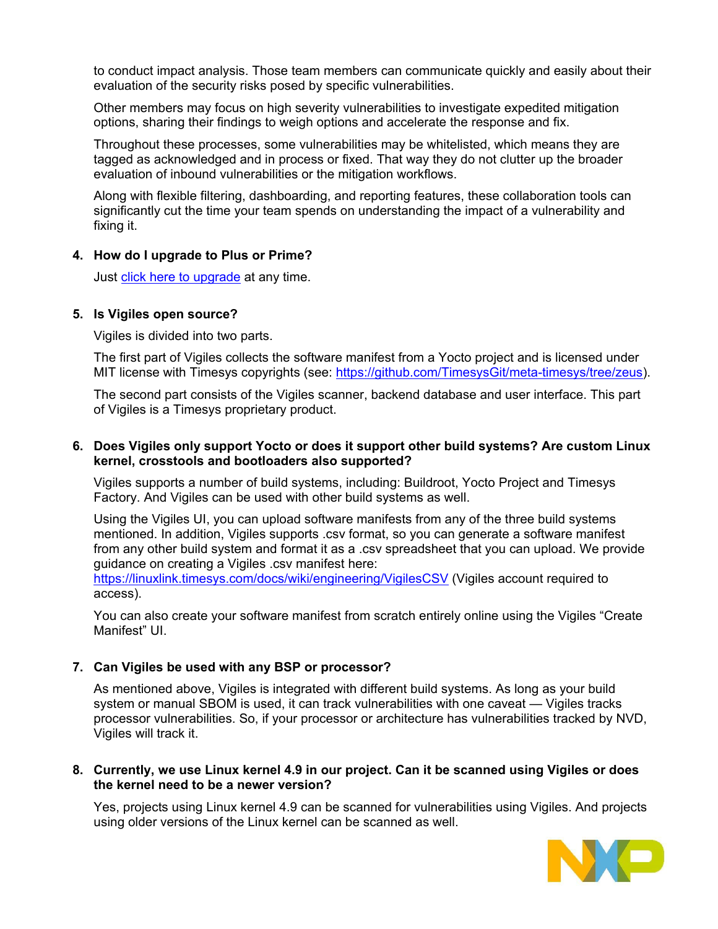to conduct impact analysis. Those team members can communicate quickly and easily about their evaluation of the security risks posed by specific vulnerabilities.

Other members may focus on high severity vulnerabilities to investigate expedited mitigation options, sharing their findings to weigh options and accelerate the response and fix.

Throughout these processes, some vulnerabilities may be whitelisted, which means they are tagged as acknowledged and in process or fixed. That way they do not clutter up the broader evaluation of inbound vulnerabilities or the mitigation workflows.

Along with flexible filtering, dashboarding, and reporting features, these collaboration tools can significantly cut the time your team spends on understanding the impact of a vulnerability and fixing it.

#### **4. How do I upgrade to Plus or Prime?**

Just [click here to upgrade](https://www.timesys.com/security/vigiles-vulnerability-management-patch-monitoring/buy/) at any time.

#### **5. Is Vigiles open source?**

Vigiles is divided into two parts.

The first part of Vigiles collects the software manifest from a Yocto project and is licensed under MIT license with Timesys copyrights (see: [https://github.com/TimesysGit/meta-timesys/tree/zeus\)](https://github.com/TimesysGit/meta-timesys/tree/zeus).

The second part consists of the Vigiles scanner, backend database and user interface. This part of Vigiles is a Timesys proprietary product.

#### **6. Does Vigiles only support Yocto or does it support other build systems? Are custom Linux kernel, crosstools and bootloaders also supported?**

Vigiles supports a number of build systems, including: Buildroot, Yocto Project and Timesys Factory. And Vigiles can be used with other build systems as well.

Using the Vigiles UI, you can upload software manifests from any of the three build systems mentioned. In addition, Vigiles supports .csv format, so you can generate a software manifest from any other build system and format it as a .csv spreadsheet that you can upload. We provide guidance on creating a Vigiles .csv manifest here:

<https://linuxlink.timesys.com/docs/wiki/engineering/VigilesCSV> (Vigiles account required to access).

You can also create your software manifest from scratch entirely online using the Vigiles "Create Manifest" UI.

# **7. Can Vigiles be used with any BSP or processor?**

As mentioned above, Vigiles is integrated with different build systems. As long as your build system or manual SBOM is used, it can track vulnerabilities with one caveat — Vigiles tracks processor vulnerabilities. So, if your processor or architecture has vulnerabilities tracked by NVD, Vigiles will track it.

#### **8. Currently, we use Linux kernel 4.9 in our project. Can it be scanned using Vigiles or does the kernel need to be a newer version?**

Yes, projects using Linux kernel 4.9 can be scanned for vulnerabilities using Vigiles. And projects using older versions of the Linux kernel can be scanned as well.

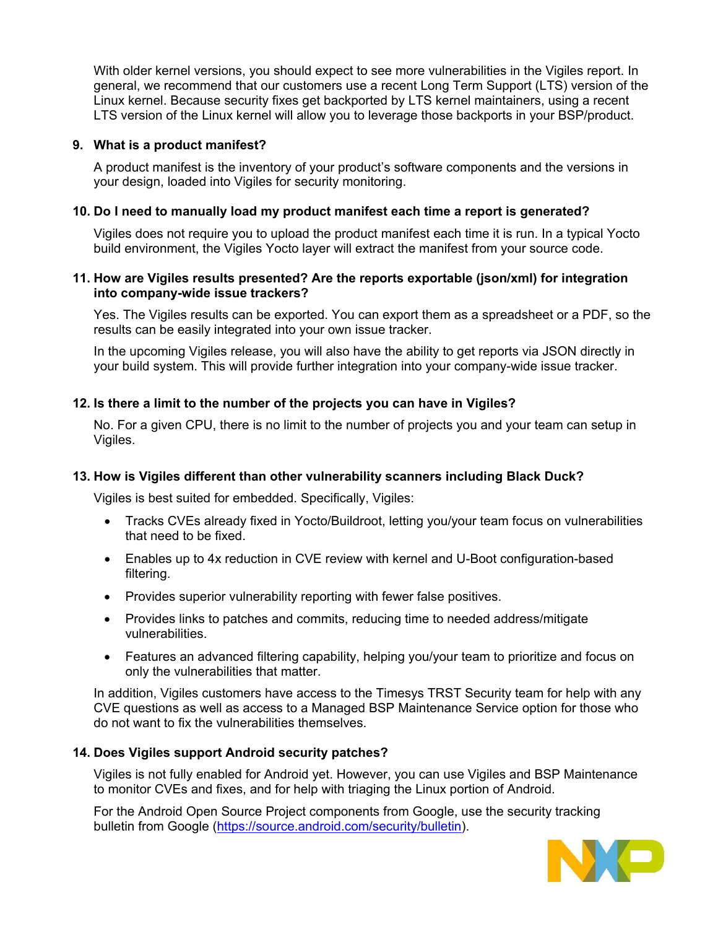With older kernel versions, you should expect to see more vulnerabilities in the Vigiles report. In general, we recommend that our customers use a recent Long Term Support (LTS) version of the Linux kernel. Because security fixes get backported by LTS kernel maintainers, using a recent LTS version of the Linux kernel will allow you to leverage those backports in your BSP/product.

# **9. What is a product manifest?**

A product manifest is the inventory of your product's software components and the versions in your design, loaded into Vigiles for security monitoring.

### **10. Do I need to manually load my product manifest each time a report is generated?**

Vigiles does not require you to upload the product manifest each time it is run. In a typical Yocto build environment, the Vigiles Yocto layer will extract the manifest from your source code.

#### **11. How are Vigiles results presented? Are the reports exportable (json/xml) for integration into company-wide issue trackers?**

Yes. The Vigiles results can be exported. You can export them as a spreadsheet or a PDF, so the results can be easily integrated into your own issue tracker.

In the upcoming Vigiles release, you will also have the ability to get reports via JSON directly in your build system. This will provide further integration into your company-wide issue tracker.

#### **12. Is there a limit to the number of the projects you can have in Vigiles?**

No. For a given CPU, there is no limit to the number of projects you and your team can setup in Vigiles.

# **13. How is Vigiles different than other vulnerability scanners including Black Duck?**

Vigiles is best suited for embedded. Specifically, Vigiles:

- Tracks CVEs already fixed in Yocto/Buildroot, letting you/your team focus on vulnerabilities that need to be fixed.
- Enables up to 4x reduction in CVE review with kernel and U-Boot configuration-based filtering.
- Provides superior vulnerability reporting with fewer false positives.
- Provides links to patches and commits, reducing time to needed address/mitigate vulnerabilities.
- Features an advanced filtering capability, helping you/your team to prioritize and focus on only the vulnerabilities that matter.

In addition, Vigiles customers have access to the Timesys TRST Security team for help with any CVE questions as well as access to a Managed BSP Maintenance Service option for those who do not want to fix the vulnerabilities themselves.

#### **14. Does Vigiles support Android security patches?**

Vigiles is not fully enabled for Android yet. However, you can use Vigiles and BSP Maintenance to monitor CVEs and fixes, and for help with triaging the Linux portion of Android.

For the Android Open Source Project components from Google, use the security tracking bulletin from Google [\(https://source.android.com/security/bulletin\)](https://source.android.com/security/bulletin).

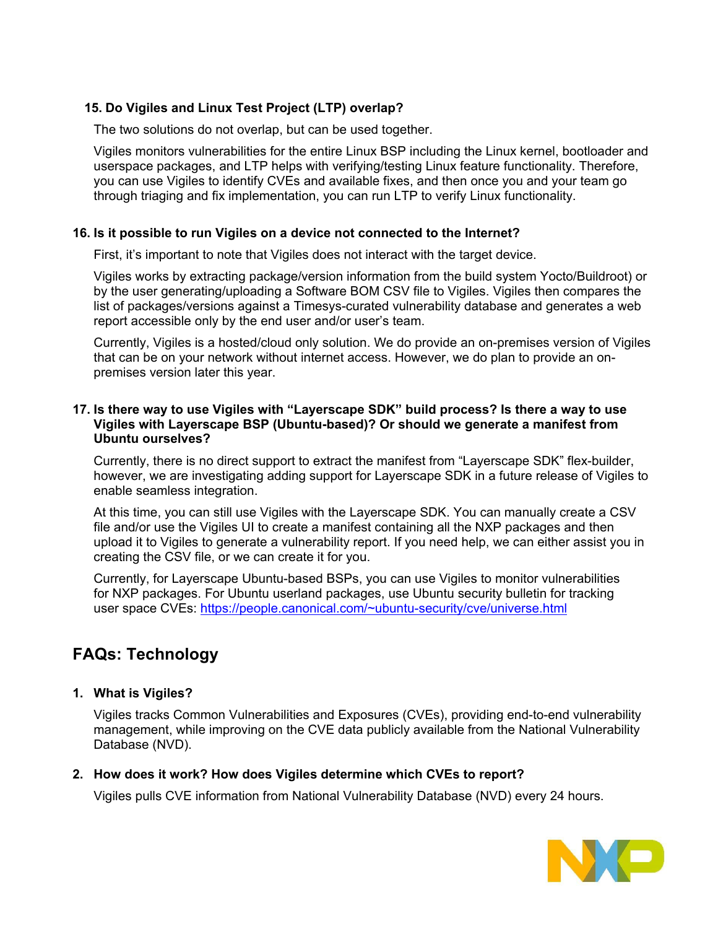# **15. Do Vigiles and Linux Test Project (LTP) overlap?**

The two solutions do not overlap, but can be used together.

Vigiles monitors vulnerabilities for the entire Linux BSP including the Linux kernel, bootloader and userspace packages, and LTP helps with verifying/testing Linux feature functionality. Therefore, you can use Vigiles to identify CVEs and available fixes, and then once you and your team go through triaging and fix implementation, you can run LTP to verify Linux functionality.

#### **16. Is it possible to run Vigiles on a device not connected to the Internet?**

First, it's important to note that Vigiles does not interact with the target device.

Vigiles works by extracting package/version information from the build system Yocto/Buildroot) or by the user generating/uploading a Software BOM CSV file to Vigiles. Vigiles then compares the list of packages/versions against a Timesys-curated vulnerability database and generates a web report accessible only by the end user and/or user's team.

Currently, Vigiles is a hosted/cloud only solution. We do provide an on-premises version of Vigiles that can be on your network without internet access. However, we do plan to provide an onpremises version later this year.

#### **17. Is there way to use Vigiles with "Layerscape SDK" build process? Is there a way to use Vigiles with Layerscape BSP (Ubuntu-based)? Or should we generate a manifest from Ubuntu ourselves?**

Currently, there is no direct support to extract the manifest from "Layerscape SDK" flex-builder, however, we are investigating adding support for Layerscape SDK in a future release of Vigiles to enable seamless integration.

At this time, you can still use Vigiles with the Layerscape SDK. You can manually create a CSV file and/or use the Vigiles UI to create a manifest containing all the NXP packages and then upload it to Vigiles to generate a vulnerability report. If you need help, we can either assist you in creating the CSV file, or we can create it for you.

Currently, for Layerscape Ubuntu-based BSPs, you can use Vigiles to monitor vulnerabilities for NXP packages. For Ubuntu userland packages, use Ubuntu security bulletin for tracking user space CVEs: [https://people.canonical.com/~ubuntu-security/cve/universe.html](https://people.canonical.com/%7Eubuntu-security/cve/universe.html)

# <span id="page-3-0"></span>**FAQs: Technology**

# **1. What is Vigiles?**

Vigiles tracks Common Vulnerabilities and Exposures (CVEs), providing end-to-end vulnerability management, while improving on the CVE data publicly available from the National Vulnerability Database (NVD).

# **2. How does it work? How does Vigiles determine which CVEs to report?**

Vigiles pulls CVE information from National Vulnerability Database (NVD) every 24 hours.

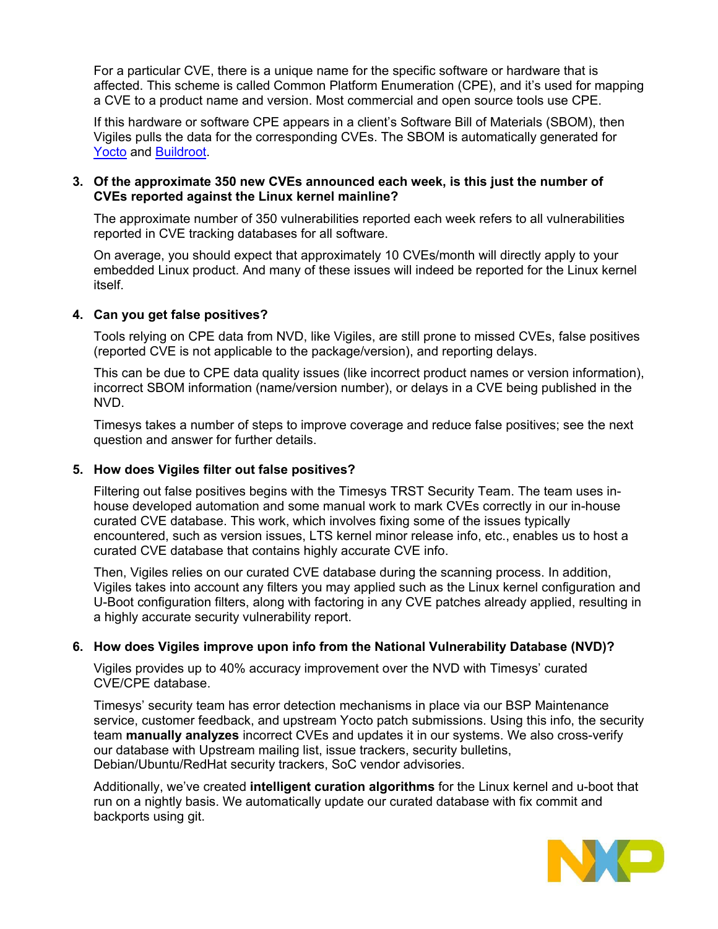For a particular CVE, there is a unique name for the specific software or hardware that is affected. This scheme is called Common Platform Enumeration (CPE), and it's used for mapping a CVE to a product name and version. Most commercial and open source tools use CPE.

If this hardware or software CPE appears in a client's Software Bill of Materials (SBOM), then Vigiles pulls the data for the corresponding CVEs. The SBOM is automatically generated for [Yocto](https://github.com/TimesysGit/meta-timesys) and [Buildroot.](https://github.com/TimesysGit/vigiles-buildroot)

#### **3. Of the approximate 350 new CVEs announced each week, is this just the number of CVEs reported against the Linux kernel mainline?**

The approximate number of 350 vulnerabilities reported each week refers to all vulnerabilities reported in CVE tracking databases for all software.

On average, you should expect that approximately 10 CVEs/month will directly apply to your embedded Linux product. And many of these issues will indeed be reported for the Linux kernel itself.

# **4. Can you get false positives?**

Tools relying on CPE data from NVD, like Vigiles, are still prone to missed CVEs, false positives (reported CVE is not applicable to the package/version), and reporting delays.

This can be due to CPE data quality issues (like incorrect product names or version information), incorrect SBOM information (name/version number), or delays in a CVE being published in the NVD.

Timesys takes a number of steps to improve coverage and reduce false positives; see the next question and answer for further details.

#### **5. How does Vigiles filter out false positives?**

Filtering out false positives begins with the Timesys TRST Security Team. The team uses inhouse developed automation and some manual work to mark CVEs correctly in our in-house curated CVE database. This work, which involves fixing some of the issues typically encountered, such as version issues, LTS kernel minor release info, etc., enables us to host a curated CVE database that contains highly accurate CVE info.

Then, Vigiles relies on our curated CVE database during the scanning process. In addition, Vigiles takes into account any filters you may applied such as the Linux kernel configuration and U-Boot configuration filters, along with factoring in any CVE patches already applied, resulting in a highly accurate security vulnerability report.

#### **6. How does Vigiles improve upon info from the National Vulnerability Database (NVD)?**

Vigiles provides up to 40% accuracy improvement over the NVD with Timesys' curated CVE/CPE database.

Timesys' security team has error detection mechanisms in place via our BSP Maintenance service, customer feedback, and upstream Yocto patch submissions. Using this info, the security team **manually analyzes** incorrect CVEs and updates it in our systems. We also cross-verify our database with Upstream mailing list, issue trackers, security bulletins, Debian/Ubuntu/RedHat security trackers, SoC vendor advisories.

Additionally, we've created **intelligent curation algorithms** for the Linux kernel and u-boot that run on a nightly basis. We automatically update our curated database with fix commit and backports using git.

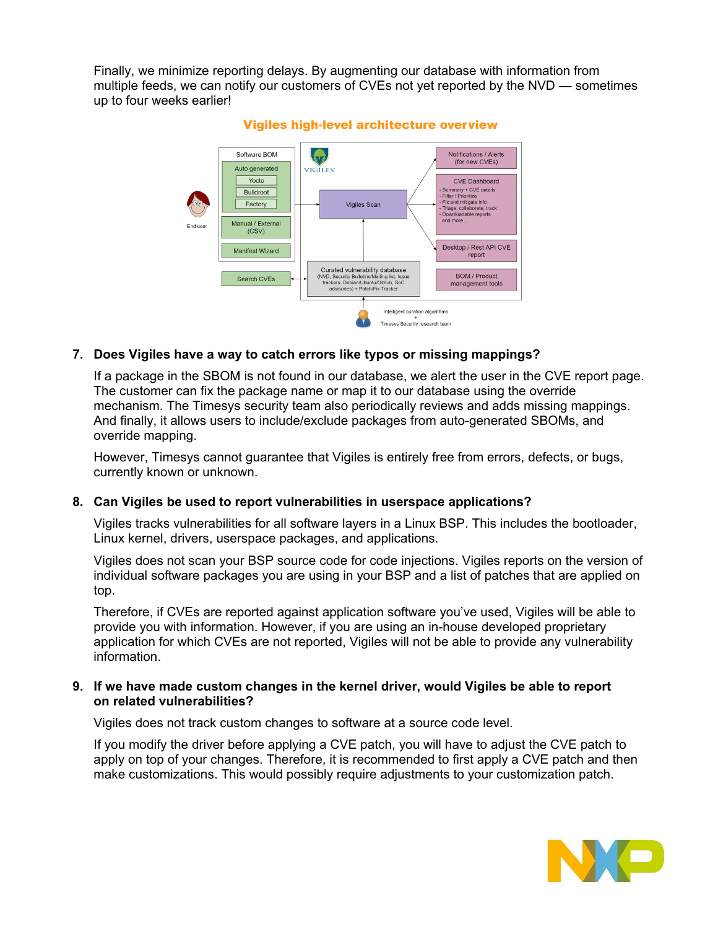Finally, we minimize reporting delays. By augmenting our database with information from multiple feeds, we can notify our customers of CVEs not yet reported by the NVD — sometimes up to four weeks earlier!



#### Vigiles high-level architecture overview

#### **7. Does Vigiles have a way to catch errors like typos or missing mappings?**

If a package in the SBOM is not found in our database, we alert the user in the CVE report page. The customer can fix the package name or map it to our database using the override mechanism. The Timesys security team also periodically reviews and adds missing mappings. And finally, it allows users to include/exclude packages from auto-generated SBOMs, and override mapping.

However, Timesys cannot guarantee that Vigiles is entirely free from errors, defects, or bugs, currently known or unknown.

#### **8. Can Vigiles be used to report vulnerabilities in userspace applications?**

Vigiles tracks vulnerabilities for all software layers in a Linux BSP. This includes the bootloader, Linux kernel, drivers, userspace packages, and applications.

Vigiles does not scan your BSP source code for code injections. Vigiles reports on the version of individual software packages you are using in your BSP and a list of patches that are applied on top.

Therefore, if CVEs are reported against application software you've used, Vigiles will be able to provide you with information. However, if you are using an in-house developed proprietary application for which CVEs are not reported, Vigiles will not be able to provide any vulnerability information.

#### **9. If we have made custom changes in the kernel driver, would Vigiles be able to report on related vulnerabilities?**

Vigiles does not track custom changes to software at a source code level.

If you modify the driver before applying a CVE patch, you will have to adjust the CVE patch to apply on top of your changes. Therefore, it is recommended to first apply a CVE patch and then make customizations. This would possibly require adjustments to your customization patch.

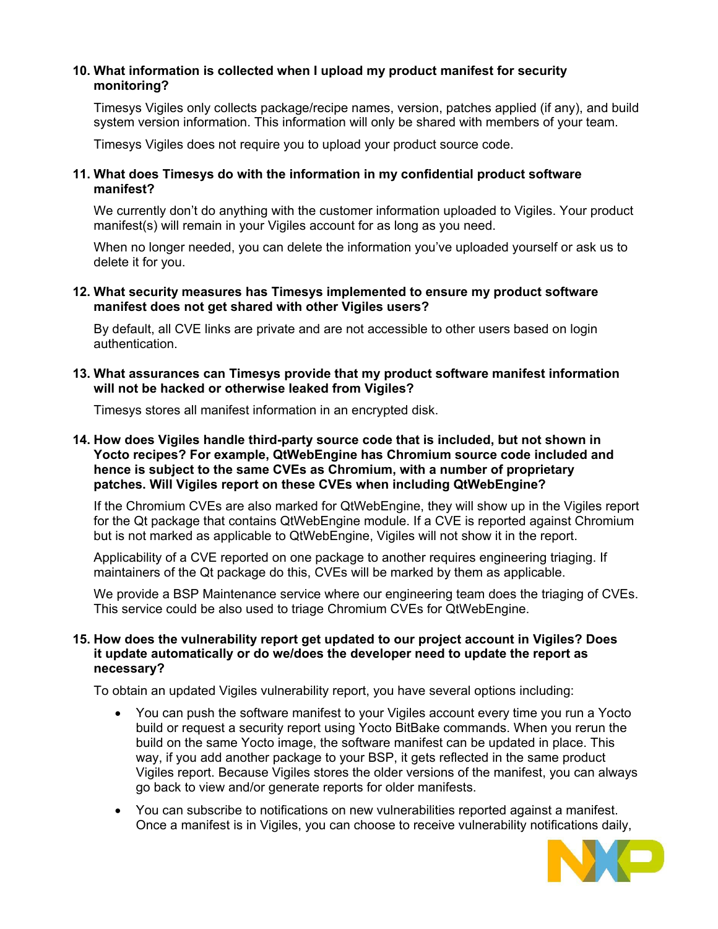# **10. What information is collected when I upload my product manifest for security monitoring?**

Timesys Vigiles only collects package/recipe names, version, patches applied (if any), and build system version information. This information will only be shared with members of your team.

Timesys Vigiles does not require you to upload your product source code.

#### **11. What does Timesys do with the information in my confidential product software manifest?**

We currently don't do anything with the customer information uploaded to Vigiles. Your product manifest(s) will remain in your Vigiles account for as long as you need.

When no longer needed, you can delete the information you've uploaded yourself or ask us to delete it for you.

#### **12. What security measures has Timesys implemented to ensure my product software manifest does not get shared with other Vigiles users?**

By default, all CVE links are private and are not accessible to other users based on login authentication.

#### **13. What assurances can Timesys provide that my product software manifest information will not be hacked or otherwise leaked from Vigiles?**

Timesys stores all manifest information in an encrypted disk.

#### **14. How does Vigiles handle third-party source code that is included, but not shown in Yocto recipes? For example, QtWebEngine has Chromium source code included and hence is subject to the same CVEs as Chromium, with a number of proprietary patches. Will Vigiles report on these CVEs when including QtWebEngine?**

If the Chromium CVEs are also marked for QtWebEngine, they will show up in the Vigiles report for the Qt package that contains QtWebEngine module. If a CVE is reported against Chromium but is not marked as applicable to QtWebEngine, Vigiles will not show it in the report.

Applicability of a CVE reported on one package to another requires engineering triaging. If maintainers of the Qt package do this, CVEs will be marked by them as applicable.

We provide a BSP Maintenance service where our engineering team does the triaging of CVEs. This service could be also used to triage Chromium CVEs for QtWebEngine.

#### **15. How does the vulnerability report get updated to our project account in Vigiles? Does it update automatically or do we/does the developer need to update the report as necessary?**

To obtain an updated Vigiles vulnerability report, you have several options including:

- You can push the software manifest to your Vigiles account every time you run a Yocto build or request a security report using Yocto BitBake commands. When you rerun the build on the same Yocto image, the software manifest can be updated in place. This way, if you add another package to your BSP, it gets reflected in the same product Vigiles report. Because Vigiles stores the older versions of the manifest, you can always go back to view and/or generate reports for older manifests.
- You can subscribe to notifications on new vulnerabilities reported against a manifest. Once a manifest is in Vigiles, you can choose to receive vulnerability notifications daily,

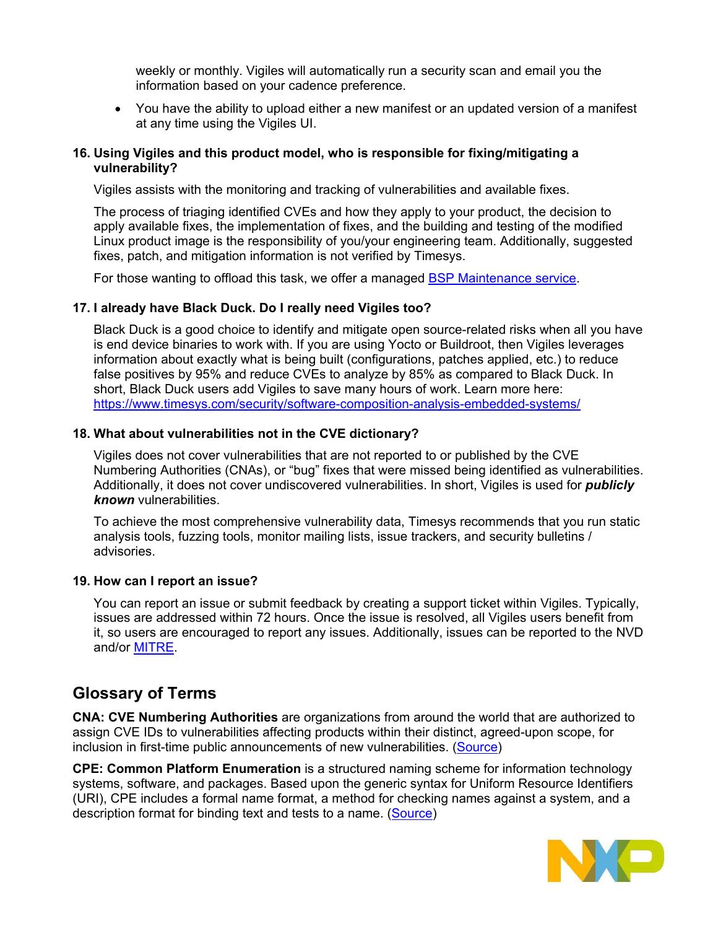weekly or monthly. Vigiles will automatically run a security scan and email you the information based on your cadence preference.

• You have the ability to upload either a new manifest or an updated version of a manifest at any time using the Vigiles UI.

#### **16. Using Vigiles and this product model, who is responsible for fixing/mitigating a vulnerability?**

Vigiles assists with the monitoring and tracking of vulnerabilities and available fixes.

The process of triaging identified CVEs and how they apply to your product, the decision to apply available fixes, the implementation of fixes, and the building and testing of the modified Linux product image is the responsibility of you/your engineering team. Additionally, suggested fixes, patch, and mitigation information is not verified by Timesys.

For those wanting to offload this task, we offer a managed [BSP Maintenance service.](https://www.timesys.com/security/bsp-update-lifecycle-maintenance-service/)

#### **17. I already have Black Duck. Do I really need Vigiles too?**

Black Duck is a good choice to identify and mitigate open source-related risks when all you have is end device binaries to work with. If you are using Yocto or Buildroot, then Vigiles leverages information about exactly what is being built (configurations, patches applied, etc.) to reduce false positives by 95% and reduce CVEs to analyze by 85% as compared to Black Duck. In short, Black Duck users add Vigiles to save many hours of work. Learn more here: <https://www.timesys.com/security/software-composition-analysis-embedded-systems/>

#### **18. What about vulnerabilities not in the CVE dictionary?**

Vigiles does not cover vulnerabilities that are not reported to or published by the CVE Numbering Authorities (CNAs), or "bug" fixes that were missed being identified as vulnerabilities. Additionally, it does not cover undiscovered vulnerabilities. In short, Vigiles is used for *publicly known* vulnerabilities.

To achieve the most comprehensive vulnerability data, Timesys recommends that you run static analysis tools, fuzzing tools, monitor mailing lists, issue trackers, and security bulletins / advisories.

#### **19. How can I report an issue?**

You can report an issue or submit feedback by creating a support ticket within Vigiles. Typically, issues are addressed within 72 hours. Once the issue is resolved, all Vigiles users benefit from it, so users are encouraged to report any issues. Additionally, issues can be reported to the NVD and/or [MITRE.](https://cve.mitre.org/)

# <span id="page-7-0"></span>**Glossary of Terms**

**CNA: CVE Numbering Authorities** are organizations from around the world that are authorized to assign CVE IDs to vulnerabilities affecting products within their distinct, agreed-upon scope, for inclusion in first-time public announcements of new vulnerabilities. [\(Source\)](https://cve.mitre.org/cve/cna.html)

**CPE: Common Platform Enumeration** is a structured naming scheme for information technology systems, software, and packages. Based upon the generic syntax for Uniform Resource Identifiers (URI), CPE includes a formal name format, a method for checking names against a system, and a description format for binding text and tests to a name. [\(Source\)](https://nvd.nist.gov/products/cpe)